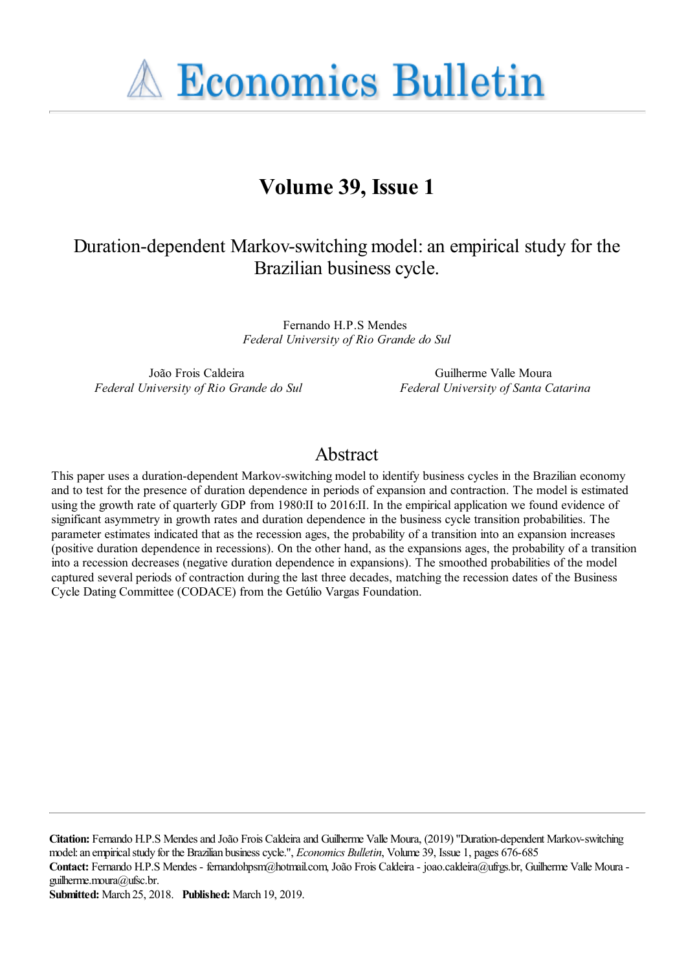**A Economics Bulletin** 

# **Volume 39, Issue 1**

# Duration-dependent Markov-switching model: an empirical study for the Brazilian business cycle.

Fernando H.P.S Mendes *Federal University of Rio Grande do Sul*

João Frois Caldeira *Federal University of Rio Grande do Sul*

Guilherme Valle Moura *Federal University of Santa Catarina*

## Abstract

This paper uses a duration-dependent Markov-switching model to identify business cycles in the Brazilian economy and to test for the presence of duration dependence in periods of expansion and contraction. The model is estimated using the growth rate of quarterly GDP from 1980:II to 2016:II. In the empirical application we found evidence of significant asymmetry in growth rates and duration dependence in the business cycle transition probabilities. The parameter estimates indicated that as the recession ages, the probability of a transition into an expansion increases (positive duration dependence in recessions). On the other hand, as the expansions ages, the probability of a transition into a recession decreases (negative duration dependence in expansions). The smoothed probabilities of the model captured several periods of contraction during the last three decades, matching the recession dates of the Business Cycle Dating Committee (CODACE) from the Getúlio Vargas Foundation.

**Citation:** Fernando H.P.S Mendes and João Frois Caldeira and Guilherme Valle Moura, (2019) ''Duration-dependent Markov-switching model: an empirical study for the Brazilian business cycle.'', *Economics Bulletin*, Volume 39, Issue 1, pages 676-685 **Contact:** Fernando H.P.S Mendes - fernandohpsm@hotmail.com, João Frois Caldeira - joao.caldeira@ufrgs.br, Guilherme Valle Moura guilherme.moura@ufsc.br. **Submitted:** March 25, 2018. **Published:** March 19, 2019.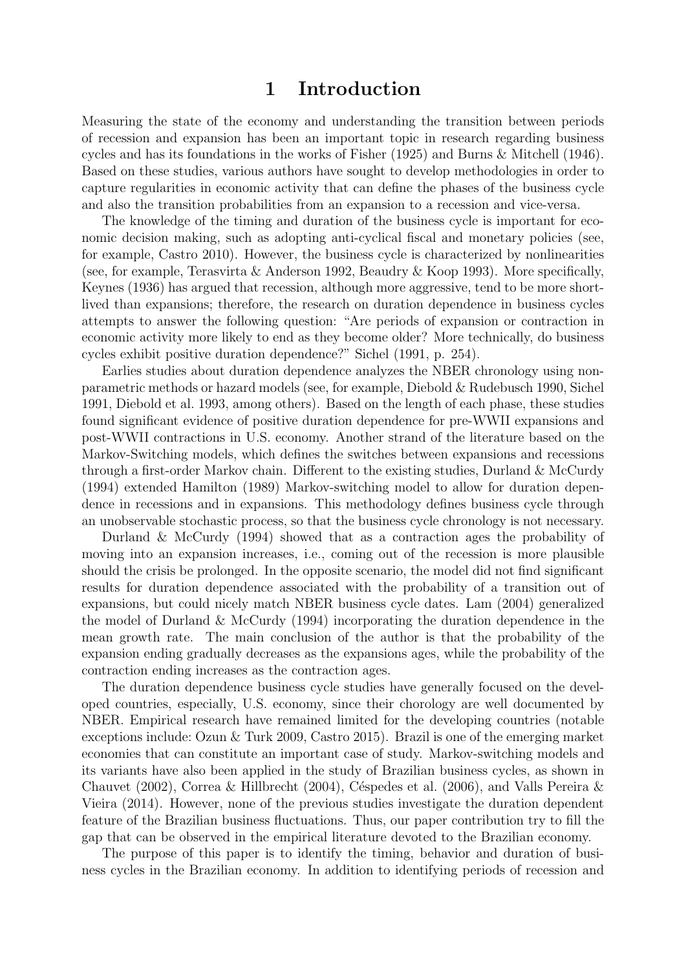### 1 Introduction

Measuring the state of the economy and understanding the transition between periods of recession and expansion has been an important topic in research regarding business cycles and has its foundations in the works of [Fisher \(1925\)](#page-10-0) and [Burns & Mitchell \(1946\)](#page-9-0). Based on these studies, various authors have sought to develop methodologies in order to capture regularities in economic activity that can define the phases of the business cycle and also the transition probabilities from an expansion to a recession and vice-versa.

The knowledge of the timing and duration of the business cycle is important for economic decision making, such as adopting anti-cyclical fiscal and monetary policies (see, for example, [Castro 2010\)](#page-9-1). However, the business cycle is characterized by nonlinearities (see, for example, [Terasvirta & Anderson 1992,](#page-10-1) [Beaudry & Koop 1993\)](#page-9-2). More specifically, [Keynes \(1936\)](#page-10-2) has argued that recession, although more aggressive, tend to be more shortlived than expansions; therefore, the research on duration dependence in business cycles attempts to answer the following question: "Are periods of expansion or contraction in economic activity more likely to end as they become older? More technically, do business cycles exhibit positive duration dependence?" [Sichel \(1991,](#page-10-3) p. 254).

Earlies studies about duration dependence analyzes the NBER chronology using nonparametric methods or hazard models (see, for example, [Diebold & Rudebusch 1990,](#page-9-3) [Sichel](#page-10-3) [1991,](#page-10-3) [Diebold et al. 1993,](#page-10-4) among others). Based on the length of each phase, these studies found significant evidence of positive duration dependence for pre-WWII expansions and post-WWII contractions in U.S. economy. Another strand of the literature based on the Markov-Switching models, which defines the switches between expansions and recessions through a first-order Markov chain. Different to the existing studies, [Durland & McCurdy](#page-10-5) [\(1994\)](#page-10-5) extended [Hamilton \(1989\)](#page-10-6) Markov-switching model to allow for duration dependence in recessions and in expansions. This methodology defines business cycle through an unobservable stochastic process, so that the business cycle chronology is not necessary.

[Durland & McCurdy \(1994\)](#page-10-5) showed that as a contraction ages the probability of moving into an expansion increases, i.e., coming out of the recession is more plausible should the crisis be prolonged. In the opposite scenario, the model did not find significant results for duration dependence associated with the probability of a transition out of expansions, but could nicely match NBER business cycle dates. [Lam \(2004\)](#page-10-7) generalized the model of [Durland & McCurdy \(1994\)](#page-10-5) incorporating the duration dependence in the mean growth rate. The main conclusion of the author is that the probability of the expansion ending gradually decreases as the expansions ages, while the probability of the contraction ending increases as the contraction ages.

The duration dependence business cycle studies have generally focused on the developed countries, especially, U.S. economy, since their chorology are well documented by NBER. Empirical research have remained limited for the developing countries (notable exceptions include: [Ozun & Turk 2009,](#page-10-8) [Castro 2015\)](#page-9-4). Brazil is one of the emerging market economies that can constitute an important case of study. Markov-switching models and its variants have also been applied in the study of Brazilian business cycles, as shown in [Chauvet \(2002\)](#page-9-5), [Correa & Hillbrecht \(2004\)](#page-9-6), Céspedes et al. (2006), and [Valls Pereira &](#page-10-9) [Vieira \(2014\)](#page-10-9). However, none of the previous studies investigate the duration dependent feature of the Brazilian business fluctuations. Thus, our paper contribution try to fill the gap that can be observed in the empirical literature devoted to the Brazilian economy.

The purpose of this paper is to identify the timing, behavior and duration of business cycles in the Brazilian economy. In addition to identifying periods of recession and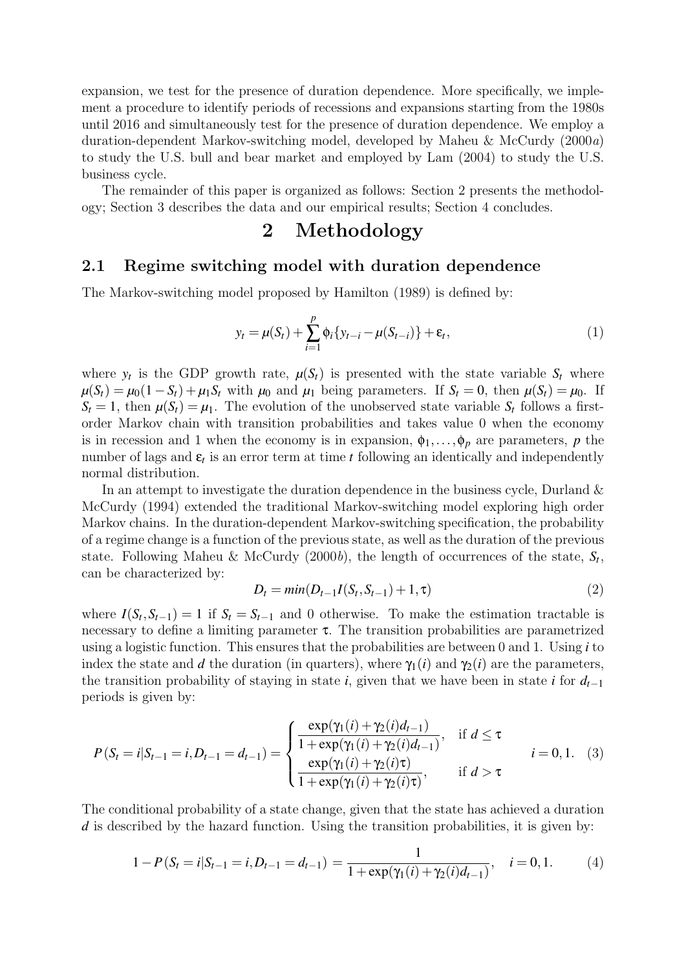expansion, we test for the presence of duration dependence. More specifically, we implement a procedure to identify periods of recessions and expansions starting from the 1980s until 2016 and simultaneously test for the presence of duration dependence. We employ a duration-dependent Markov-switching model, developed by [Maheu & McCurdy \(2000](#page-10-10)a) to study the U.S. bull and bear market and employed by [Lam \(2004\)](#page-10-7) to study the U.S. business cycle.

The remainder of this paper is organized as follows: Section 2 presents the methodology; Section 3 describes the data and our empirical results; Section 4 concludes.

### 2 Methodology

### 2.1 Regime switching model with duration dependence

The Markov-switching model proposed by [Hamilton \(1989\)](#page-10-6) is defined by:

<span id="page-2-1"></span>
$$
y_t = \mu(S_t) + \sum_{i=1}^p \phi_i \{ y_{t-i} - \mu(S_{t-i}) \} + \varepsilon_t,
$$
\n(1)

where  $y_t$  is the GDP growth rate,  $\mu(S_t)$  is presented with the state variable  $S_t$  where  $\mu(S_t) = \mu_0(1 - S_t) + \mu_1 S_t$  with  $\mu_0$  and  $\mu_1$  being parameters. If  $S_t = 0$ , then  $\mu(S_t) = \mu_0$ . If  $S_t = 1$ , then  $\mu(S_t) = \mu_1$ . The evolution of the unobserved state variable  $S_t$  follows a firstorder Markov chain with transition probabilities and takes value 0 when the economy is in recession and 1 when the economy is in expansion,  $\phi_1, \ldots, \phi_p$  are parameters, p the number of lags and  $\varepsilon_t$  is an error term at time  $t$  following an identically and independently normal distribution.

In an attempt to investigate the duration dependence in the business cycle, [Durland &](#page-10-5) [McCurdy \(1994\)](#page-10-5) extended the traditional Markov-switching model exploring high order Markov chains. In the duration-dependent Markov-switching specification, the probability of a regime change is a function of the previous state, as well as the duration of the previous state. Following [Maheu & McCurdy \(2000](#page-10-11)b), the length of occurrences of the state, *S<sup>t</sup>* , can be characterized by:

$$
D_t = min(D_{t-1}I(S_t, S_{t-1}) + 1, \tau)
$$
\n(2)

where  $I(S_t, S_{t-1}) = 1$  if  $S_t = S_{t-1}$  and 0 otherwise. To make the estimation tractable is necessary to define a limiting parameter  $\tau$ . The transition probabilities are parametrized using a logistic function. This ensures that the probabilities are between 0 and 1. Using *i* to index the state and *d* the duration (in quarters), where  $\gamma_1(i)$  and  $\gamma_2(i)$  are the parameters, the transition probability of staying in state *i*, given that we have been in state *i* for  $d_{t-1}$ periods is given by:

<span id="page-2-0"></span>
$$
P(S_t = i | S_{t-1} = i, D_{t-1} = d_{t-1}) = \begin{cases} \frac{\exp(\gamma_1(i) + \gamma_2(i)d_{t-1})}{1 + \exp(\gamma_1(i) + \gamma_2(i)d_{t-1})}, & \text{if } d \le \tau \\ \frac{\exp(\gamma_1(i) + \gamma_2(i)\tau)}{1 + \exp(\gamma_1(i) + \gamma_2(i)\tau)}, & \text{if } d > \tau \end{cases} \tag{3}
$$

The conditional probability of a state change, given that the state has achieved a duration *d* is described by the hazard function. Using the transition probabilities, it is given by:

$$
1 - P(S_t = i | S_{t-1} = i, D_{t-1} = d_{t-1}) = \frac{1}{1 + \exp(\gamma_1(i) + \gamma_2(i)d_{t-1})}, \quad i = 0, 1.
$$
 (4)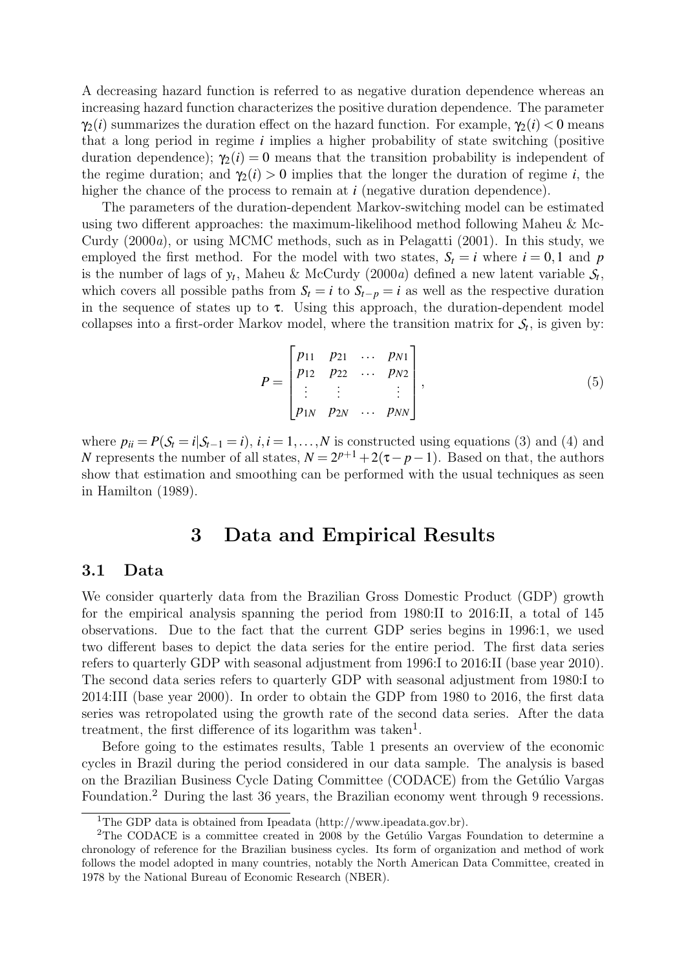A decreasing hazard function is referred to as negative duration dependence whereas an increasing hazard function characterizes the positive duration dependence. The parameter  $\gamma_2(i)$  summarizes the duration effect on the hazard function. For example,  $\gamma_2(i) < 0$  means that a long period in regime *i* implies a higher probability of state switching (positive duration dependence);  $\gamma_2(i) = 0$  means that the transition probability is independent of the regime duration; and  $\gamma_2(i) > 0$  implies that the longer the duration of regime *i*, the higher the chance of the process to remain at *i* (negative duration dependence).

The parameters of the duration-dependent Markov-switching model can be estimated using two different approaches: the maximum-likelihood method following [Maheu & Mc-](#page-10-10)[Curdy \(2000](#page-10-10)a), or using MCMC methods, such as in [Pelagatti \(2001\)](#page-10-12). In this study, we employed the first method. For the model with two states,  $S_t = i$  where  $i = 0, 1$  and p is the number of lags of  $y_t$ , [Maheu & McCurdy \(2000](#page-10-10)a) defined a new latent variable  $S_t$ , which covers all possible paths from  $S_t = i$  to  $S_{t-p} = i$  as well as the respective duration in the sequence of states up to  $\tau$ . Using this approach, the duration-dependent model collapses into a first-order Markov model, where the transition matrix for  $S_t$ , is given by:

$$
P = \begin{bmatrix} p_{11} & p_{21} & \dots & p_{N1} \\ p_{12} & p_{22} & \dots & p_{N2} \\ \vdots & \vdots & & \vdots \\ p_{1N} & p_{2N} & \dots & p_{NN} \end{bmatrix},
$$
 (5)

where  $p_{ii} = P(\mathcal{S}_t = i | \mathcal{S}_{t-1} = i)$ ,  $i, i = 1, ..., N$  is constructed using equations (3) and (4) and *N* represents the number of all states,  $N = 2^{p+1} + 2(\tau - p - 1)$ . Based on that, the authors show that estimation and smoothing can be performed with the usual techniques as seen in [Hamilton \(1989\)](#page-10-6).

### 3 Data and Empirical Results

#### 3.1 Data

We consider quarterly data from the Brazilian Gross Domestic Product (GDP) growth for the empirical analysis spanning the period from 1980:II to 2016:II, a total of 145 observations. Due to the fact that the current GDP series begins in 1996:1, we used two different bases to depict the data series for the entire period. The first data series refers to quarterly GDP with seasonal adjustment from 1996:I to 2016:II (base year 2010). The second data series refers to quarterly GDP with seasonal adjustment from 1980:I to 2014:III (base year 2000). In order to obtain the GDP from 1980 to 2016, the first data series was retropolated using the growth rate of the second data series. After the data treatment, the first difference of its logarithm was taken<sup>[1](#page-3-0)</sup>.

Before going to the estimates results, Table [1](#page-4-0) presents an overview of the economic cycles in Brazil during the period considered in our data sample. The analysis is based on the Brazilian Business Cycle Dating Committee (CODACE) from the Getúlio Vargas Foundation.[2](#page-3-1) During the last 36 years, the Brazilian economy went through 9 recessions.

<span id="page-3-1"></span><span id="page-3-0"></span> $1$ The GDP data is obtained from Ipeadata (http://www.ipeadata.gov.br).

<sup>&</sup>lt;sup>2</sup>The CODACE is a committee created in 2008 by the Getúlio Vargas Foundation to determine a chronology of reference for the Brazilian business cycles. Its form of organization and method of work follows the model adopted in many countries, notably the North American Data Committee, created in 1978 by the National Bureau of Economic Research (NBER).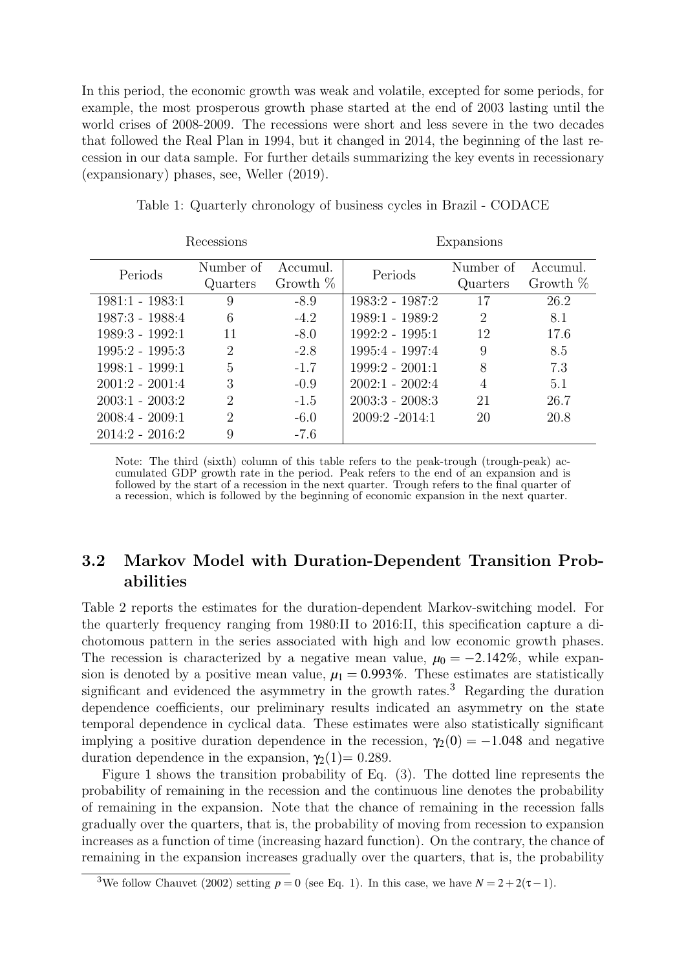In this period, the economic growth was weak and volatile, excepted for some periods, for example, the most prosperous growth phase started at the end of 2003 lasting until the world crises of 2008-2009. The recessions were short and less severe in the two decades that followed the Real Plan in 1994, but it changed in 2014, the beginning of the last recession in our data sample. For further details summarizing the key events in recessionary (expansionary) phases, see, [Weller \(2019\)](#page-10-13).

<span id="page-4-0"></span>

| Recessions        |                |            | Expansions        |                |            |
|-------------------|----------------|------------|-------------------|----------------|------------|
| Periods           | Number of      | Accumul.   | Periods           | Number of      | Accumul.   |
|                   | Quarters       | Growth $%$ |                   | Quarters       | Growth $%$ |
| $1981:1 - 1983:1$ | 9              | $-8.9$     | 1983:2 - 1987:2   | 17             | 26.2       |
| $1987:3 - 1988:4$ | 6              | $-4.2$     | 1989:1 - 1989:2   | $\overline{2}$ | 8.1        |
| $1989:3 - 1992:1$ | 11             | $-8.0$     | $1992:2 - 1995:1$ | 12             | 17.6       |
| $1995:2 - 1995:3$ | 2              | $-2.8$     | 1995:4 - 1997:4   | 9              | 8.5        |
| $1998:1 - 1999:1$ | 5              | $-1.7$     | $1999:2 - 2001:1$ | 8              | 7.3        |
| $2001:2 - 2001:4$ | 3              | $-0.9$     | $2002:1 - 2002:4$ | 4              | 5.1        |
| $2003:1 - 2003:2$ | $\overline{2}$ | $-1.5$     | $2003:3 - 2008:3$ | 21             | 26.7       |
| $2008:4 - 2009:1$ | $\overline{2}$ | $-6.0$     | $2009:2 -2014:1$  | 20             | 20.8       |
| $2014:2 - 2016:2$ | 9              | $-7.6$     |                   |                |            |

Table 1: Quarterly chronology of business cycles in Brazil - CODACE

Note: The third (sixth) column of this table refers to the peak-trough (trough-peak) accumulated GDP growth rate in the period. Peak refers to the end of an expansion and is followed by the start of a recession in the next quarter. Trough refers to the final quarter of a recession, which is followed by the beginning of economic expansion in the next quarter.

### 3.2 Markov Model with Duration-Dependent Transition Probabilities

Table [2](#page-5-0) reports the estimates for the duration-dependent Markov-switching model. For the quarterly frequency ranging from 1980:II to 2016:II, this specification capture a dichotomous pattern in the series associated with high and low economic growth phases. The recession is characterized by a negative mean value,  $\mu_0 = -2.142\%$ , while expansion is denoted by a positive mean value,  $\mu_1 = 0.993\%$ . These estimates are statistically significant and evidenced the asymmetry in the growth rates.<sup>[3](#page-4-1)</sup> Regarding the duration dependence coefficients, our preliminary results indicated an asymmetry on the state temporal dependence in cyclical data. These estimates were also statistically significant implying a positive duration dependence in the recession,  $\gamma_2(0) = -1.048$  and negative duration dependence in the expansion,  $γ<sub>2</sub>(1)= 0.289$ .

Figure [1](#page-5-1) shows the transition probability of Eq. [\(3\)](#page-2-0). The dotted line represents the probability of remaining in the recession and the continuous line denotes the probability of remaining in the expansion. Note that the chance of remaining in the recession falls gradually over the quarters, that is, the probability of moving from recession to expansion increases as a function of time (increasing hazard function). On the contrary, the chance of remaining in the expansion increases gradually over the quarters, that is, the probability

<span id="page-4-1"></span><sup>&</sup>lt;sup>3</sup>We follow [Chauvet \(2002\)](#page-9-5) setting  $p = 0$  (see Eq. [1\)](#page-2-1). In this case, we have  $N = 2 + 2(\tau - 1)$ .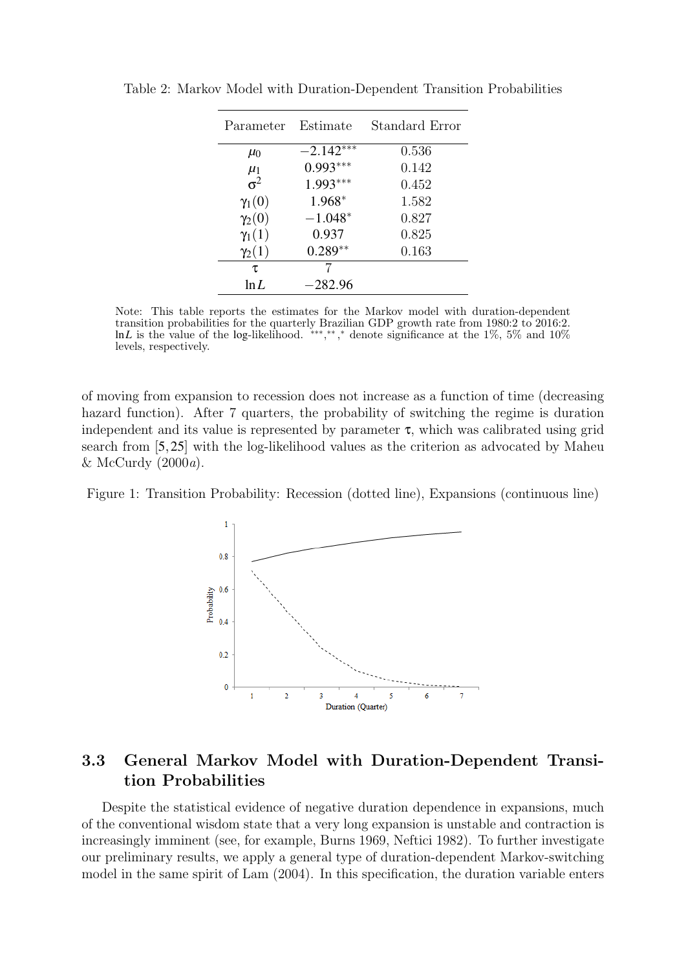| Parameter     | Estimate    | Standard Error |
|---------------|-------------|----------------|
| $\mu_0$       | $-2.142***$ | 0.536          |
| $\mu_1$       | $0.993***$  | 0.142          |
| $\sigma^2$    | $1.993***$  | 0.452          |
| $\gamma_1(0)$ | 1.968*      | 1.582          |
| $\gamma_2(0)$ | $-1.048*$   | 0.827          |
| $\gamma_1(1)$ | 0.937       | 0.825          |
| $\gamma_2(1)$ | $0.289**$   | 0.163          |
| τ             |             |                |
| $\ln I$       | $-282.96$   |                |

<span id="page-5-0"></span>Table 2: Markov Model with Duration-Dependent Transition Probabilities

Note: This table reports the estimates for the Markov model with duration-dependent transition probabilities for the quarterly Brazilian GDP growth rate from 1980:2 to 2016:2. lnL is the value of the log-likelihood. \*\*\*,\*\*,\* denote significance at the 1%, 5% and 10% levels, respectively.

of moving from expansion to recession does not increase as a function of time (decreasing hazard function). After 7 quarters, the probability of switching the regime is duration independent and its value is represented by parameter  $\tau$ , which was calibrated using grid search from [5,25] with the log-likelihood values as the criterion as advocated by [Maheu](#page-10-10) [& McCurdy \(2000](#page-10-10)a).

<span id="page-5-1"></span>



### 3.3 General Markov Model with Duration-Dependent Transition Probabilities

Despite the statistical evidence of negative duration dependence in expansions, much of the conventional wisdom state that a very long expansion is unstable and contraction is increasingly imminent (see, for example, [Burns 1969,](#page-9-8) [Neftici 1982\)](#page-10-14). To further investigate our preliminary results, we apply a general type of duration-dependent Markov-switching model in the same spirit of [Lam \(2004\)](#page-10-7). In this specification, the duration variable enters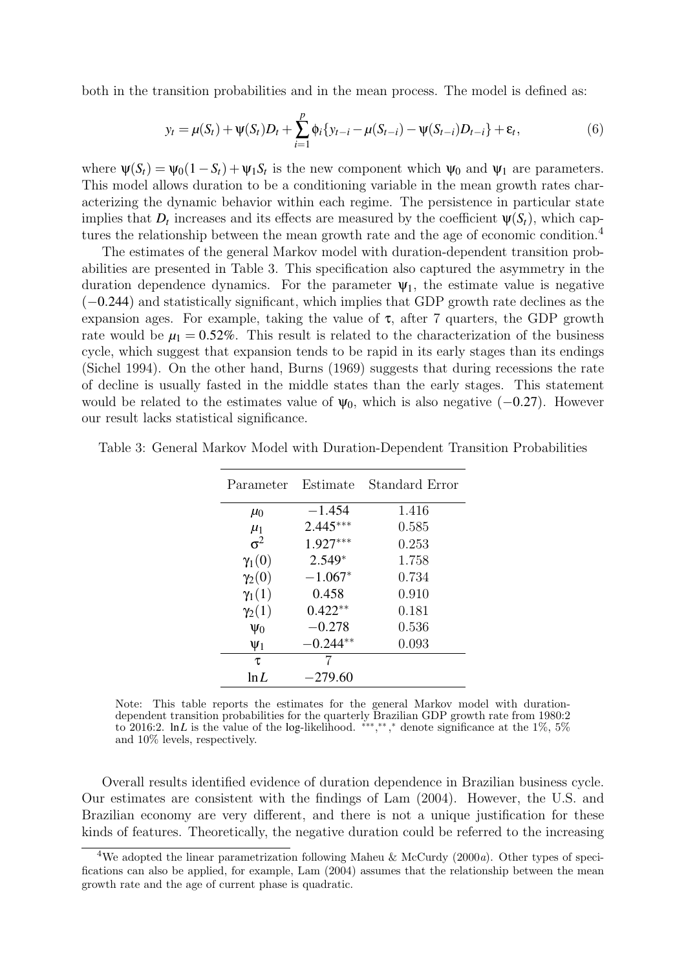both in the transition probabilities and in the mean process. The model is defined as:

$$
y_t = \mu(S_t) + \psi(S_t)D_t + \sum_{i=1}^p \phi_i \{ y_{t-i} - \mu(S_{t-i}) - \psi(S_{t-i})D_{t-i} \} + \varepsilon_t,
$$
\n(6)

where  $\psi(S_t) = \psi_0(1 - S_t) + \psi_1 S_t$  is the new component which  $\psi_0$  and  $\psi_1$  are parameters. This model allows duration to be a conditioning variable in the mean growth rates characterizing the dynamic behavior within each regime. The persistence in particular state implies that  $D_t$  increases and its effects are measured by the coefficient  $\psi(S_t)$ , which cap-tures the relationship between the mean growth rate and the age of economic condition.<sup>[4](#page-6-0)</sup>

The estimates of the general Markov model with duration-dependent transition probabilities are presented in Table [3.](#page-6-1) This specification also captured the asymmetry in the duration dependence dynamics. For the parameter  $\Psi_1$ , the estimate value is negative (−0.244) and statistically significant, which implies that GDP growth rate declines as the expansion ages. For example, taking the value of  $\tau$ , after 7 quarters, the GDP growth rate would be  $\mu_1 = 0.52\%$ . This result is related to the characterization of the business cycle, which suggest that expansion tends to be rapid in its early stages than its endings [\(Sichel 1994\)](#page-10-15). On the other hand, [Burns \(1969\)](#page-9-8) suggests that during recessions the rate of decline is usually fasted in the middle states than the early stages. This statement would be related to the estimates value of  $\psi_0$ , which is also negative (−0.27). However our result lacks statistical significance.

| Parameter                | Estimate   | Standard Error |
|--------------------------|------------|----------------|
| $\mu_0$                  | $-1.454$   | 1.416          |
|                          | $2.445***$ | 0.585          |
| $\frac{\mu_1}{\sigma^2}$ | $1.927***$ | 0.253          |
| $\gamma_1(0)$            | $2.549*$   | 1.758          |
| $\gamma_2(0)$            | $-1.067*$  | 0.734          |
| $\gamma_1(1)$            | 0.458      | 0.910          |
| $\gamma_2(1)$            | $0.422**$  | 0.181          |
| $\Psi_0$                 | $-0.278$   | 0.536          |
| $\mathsf{\Psi}_1$        | $-0.244**$ | 0.093          |

<span id="page-6-1"></span>Table 3: General Markov Model with Duration-Dependent Transition Probabilities

Note: This table reports the estimates for the general Markov model with durationdependent transition probabilities for the quarterly Brazilian GDP growth rate from 1980:2 to 2016:2. In L is the value of the log-likelihood. \*\*\*,\*\*,\* denote significance at the 1%, 5% and 10% levels, respectively.

τ 7 ln*L* −279.60

Overall results identified evidence of duration dependence in Brazilian business cycle. Our estimates are consistent with the findings of [Lam \(2004\)](#page-10-7). However, the U.S. and Brazilian economy are very different, and there is not a unique justification for these kinds of features. Theoretically, the negative duration could be referred to the increasing

<span id="page-6-0"></span><sup>&</sup>lt;sup>4</sup>We adopted the linear parametrization following [Maheu & McCurdy \(2000](#page-10-10)a). Other types of specifications can also be applied, for example, [Lam \(2004\)](#page-10-7) assumes that the relationship between the mean growth rate and the age of current phase is quadratic.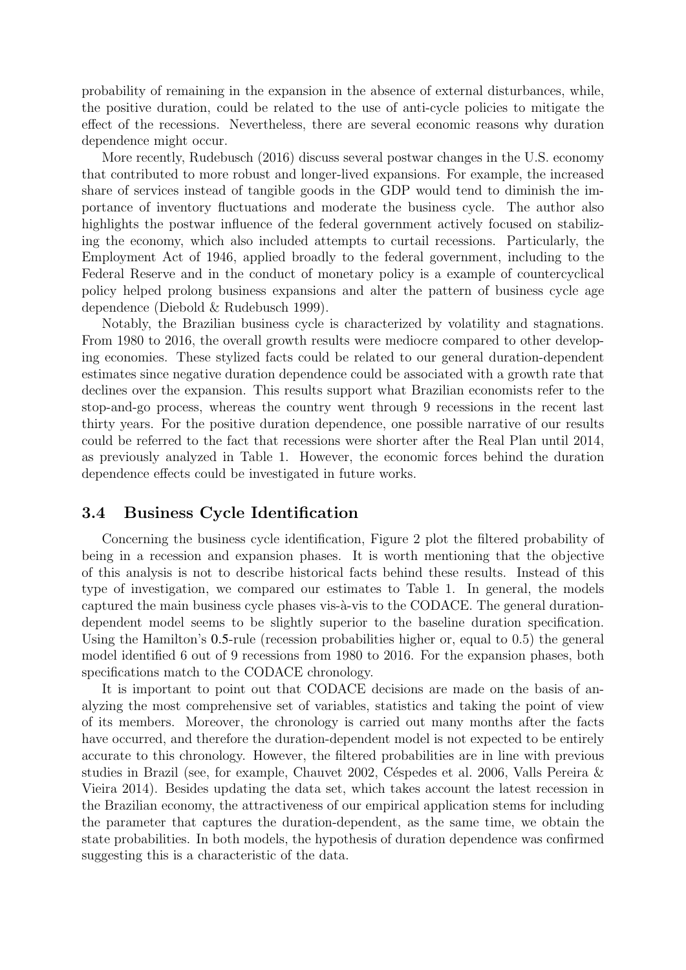probability of remaining in the expansion in the absence of external disturbances, while, the positive duration, could be related to the use of anti-cycle policies to mitigate the effect of the recessions. Nevertheless, there are several economic reasons why duration dependence might occur.

More recently, [Rudebusch \(2016\)](#page-10-16) discuss several postwar changes in the U.S. economy that contributed to more robust and longer-lived expansions. For example, the increased share of services instead of tangible goods in the GDP would tend to diminish the importance of inventory fluctuations and moderate the business cycle. The author also highlights the postwar influence of the federal government actively focused on stabilizing the economy, which also included attempts to curtail recessions. Particularly, the Employment Act of 1946, applied broadly to the federal government, including to the Federal Reserve and in the conduct of monetary policy is a example of countercyclical policy helped prolong business expansions and alter the pattern of business cycle age dependence [\(Diebold & Rudebusch 1999\)](#page-9-9).

Notably, the Brazilian business cycle is characterized by volatility and stagnations. From 1980 to 2016, the overall growth results were mediocre compared to other developing economies. These stylized facts could be related to our general duration-dependent estimates since negative duration dependence could be associated with a growth rate that declines over the expansion. This results support what Brazilian economists refer to the stop-and-go process, whereas the country went through 9 recessions in the recent last thirty years. For the positive duration dependence, one possible narrative of our results could be referred to the fact that recessions were shorter after the Real Plan until 2014, as previously analyzed in Table [1.](#page-4-0) However, the economic forces behind the duration dependence effects could be investigated in future works.

### 3.4 Business Cycle Identification

Concerning the business cycle identification, Figure [2](#page-8-0) plot the filtered probability of being in a recession and expansion phases. It is worth mentioning that the objective of this analysis is not to describe historical facts behind these results. Instead of this type of investigation, we compared our estimates to Table [1.](#page-4-0) In general, the models captured the main business cycle phases vis-à-vis to the CODACE. The general durationdependent model seems to be slightly superior to the baseline duration specification. Using the Hamilton's 0.5-rule (recession probabilities higher or, equal to 0.5) the general model identified 6 out of 9 recessions from 1980 to 2016. For the expansion phases, both specifications match to the CODACE chronology.

It is important to point out that CODACE decisions are made on the basis of analyzing the most comprehensive set of variables, statistics and taking the point of view of its members. Moreover, the chronology is carried out many months after the facts have occurred, and therefore the duration-dependent model is not expected to be entirely accurate to this chronology. However, the filtered probabilities are in line with previous studies in Brazil (see, for example, [Chauvet 2002,](#page-9-5) Céspedes et al. 2006, Valls Pereira  $\&$ [Vieira 2014\)](#page-10-9). Besides updating the data set, which takes account the latest recession in the Brazilian economy, the attractiveness of our empirical application stems for including the parameter that captures the duration-dependent, as the same time, we obtain the state probabilities. In both models, the hypothesis of duration dependence was confirmed suggesting this is a characteristic of the data.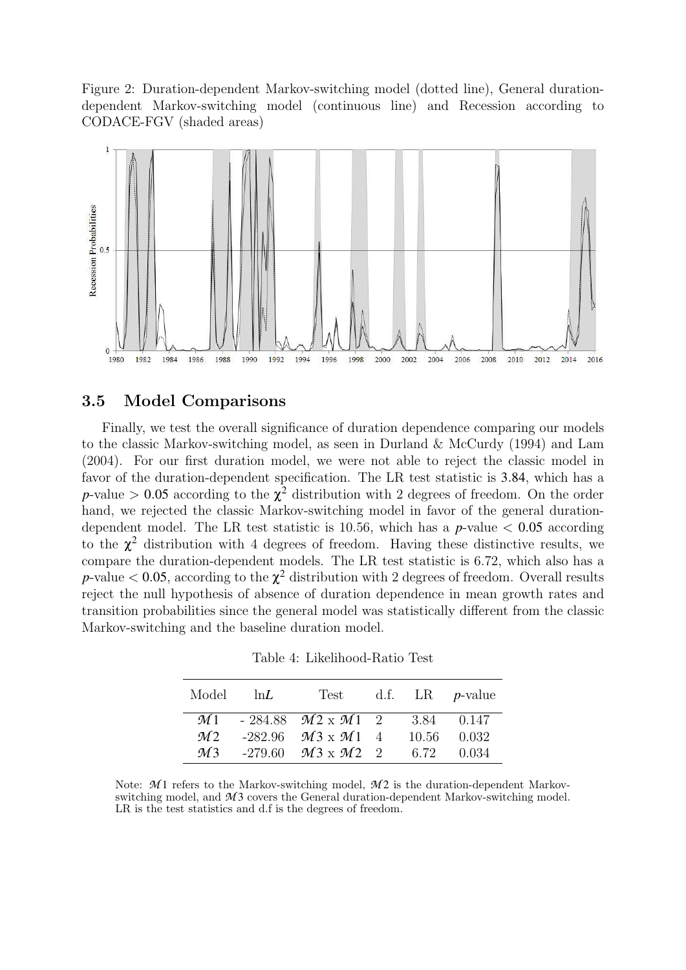<span id="page-8-0"></span>Figure 2: Duration-dependent Markov-switching model (dotted line), General durationdependent Markov-switching model (continuous line) and Recession according to CODACE-FGV (shaded areas)



### 3.5 Model Comparisons

Finally, we test the overall significance of duration dependence comparing our models to the classic Markov-switching model, as seen in [Durland & McCurdy \(1994\)](#page-10-5) and [Lam](#page-10-7) [\(2004\)](#page-10-7). For our first duration model, we were not able to reject the classic model in favor of the duration-dependent specification. The LR test statistic is 3.84, which has a *p*-value  $> 0.05$  according to the  $\chi^2$  distribution with 2 degrees of freedom. On the order hand, we rejected the classic Markov-switching model in favor of the general durationdependent model. The LR test statistic is 10.56, which has a  $p$ -value  $\lt 0.05$  according to the  $\chi^2$  distribution with 4 degrees of freedom. Having these distinctive results, we compare the duration-dependent models. The LR test statistic is 6.72, which also has a *p*-value  $< 0.05$ , according to the  $\chi^2$  distribution with 2 degrees of freedom. Overall results reject the null hypothesis of absence of duration dependence in mean growth rates and transition probabilities since the general model was statistically different from the classic Markov-switching and the baseline duration model.

| Model          | $\ln L$ | Test d.f. LR <i>p</i> -value              |  |             |
|----------------|---------|-------------------------------------------|--|-------------|
|                |         | $M1 - 284.88$ $M2 \times M1$ 2 3.84 0.147 |  |             |
| M <sub>2</sub> |         | $-282.96$ $M3 \times M1$ 4                |  | 10.56 0.032 |
| M <sup>3</sup> |         | $-279.60$ $M3 \times M2$ 2                |  | 6.72 0.034  |

Table 4: Likelihood-Ratio Test

Note:  $\mathcal{M}$  1 refers to the Markov-switching model,  $\mathcal{M}$  2 is the duration-dependent Markovswitching model, and  $\mathcal{M}3$  covers the General duration-dependent Markov-switching model. LR is the test statistics and d.f is the degrees of freedom.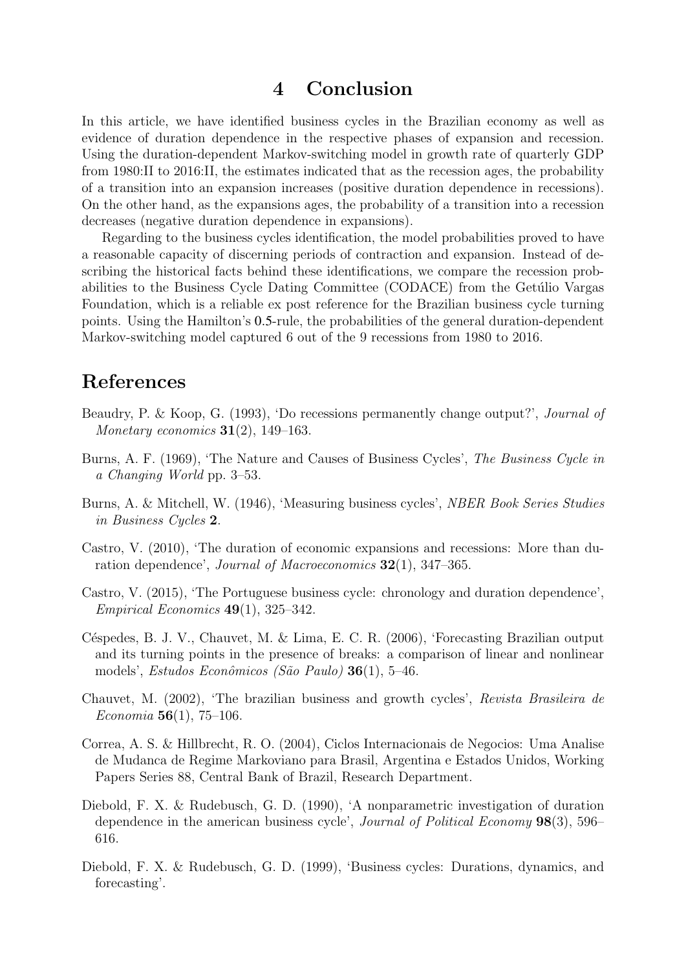## 4 Conclusion

In this article, we have identified business cycles in the Brazilian economy as well as evidence of duration dependence in the respective phases of expansion and recession. Using the duration-dependent Markov-switching model in growth rate of quarterly GDP from 1980:II to 2016:II, the estimates indicated that as the recession ages, the probability of a transition into an expansion increases (positive duration dependence in recessions). On the other hand, as the expansions ages, the probability of a transition into a recession decreases (negative duration dependence in expansions).

Regarding to the business cycles identification, the model probabilities proved to have a reasonable capacity of discerning periods of contraction and expansion. Instead of describing the historical facts behind these identifications, we compare the recession probabilities to the Business Cycle Dating Committee (CODACE) from the Getúlio Vargas Foundation, which is a reliable ex post reference for the Brazilian business cycle turning points. Using the Hamilton's 0.5-rule, the probabilities of the general duration-dependent Markov-switching model captured 6 out of the 9 recessions from 1980 to 2016.

# References

- <span id="page-9-2"></span>Beaudry, P. & Koop, G. (1993), 'Do recessions permanently change output?', Journal of Monetary economics  $31(2)$ , 149–163.
- <span id="page-9-8"></span>Burns, A. F. (1969), 'The Nature and Causes of Business Cycles', The Business Cycle in a Changing World pp. 3–53.
- <span id="page-9-0"></span>Burns, A. & Mitchell, W. (1946), 'Measuring business cycles', NBER Book Series Studies in Business Cycles 2.
- <span id="page-9-1"></span>Castro, V. (2010), 'The duration of economic expansions and recessions: More than duration dependence', Journal of Macroeconomics 32(1), 347–365.
- <span id="page-9-4"></span>Castro, V. (2015), 'The Portuguese business cycle: chronology and duration dependence',  $Empirical Economics$  49(1), 325–342.
- <span id="page-9-7"></span>Céspedes, B. J. V., Chauvet, M. & Lima, E. C. R. (2006), 'Forecasting Brazilian output and its turning points in the presence of breaks: a comparison of linear and nonlinear models', Estudos Econômicos (São Paulo)  $36(1)$ , 5–46.
- <span id="page-9-5"></span>Chauvet, M. (2002), 'The brazilian business and growth cycles', Revista Brasileira de Economia 56(1), 75–106.
- <span id="page-9-6"></span>Correa, A. S. & Hillbrecht, R. O. (2004), Ciclos Internacionais de Negocios: Uma Analise de Mudanca de Regime Markoviano para Brasil, Argentina e Estados Unidos, Working Papers Series 88, Central Bank of Brazil, Research Department.
- <span id="page-9-3"></span>Diebold, F. X. & Rudebusch, G. D. (1990), 'A nonparametric investigation of duration dependence in the american business cycle', Journal of Political Economy 98(3), 596– 616.
- <span id="page-9-9"></span>Diebold, F. X. & Rudebusch, G. D. (1999), 'Business cycles: Durations, dynamics, and forecasting'.